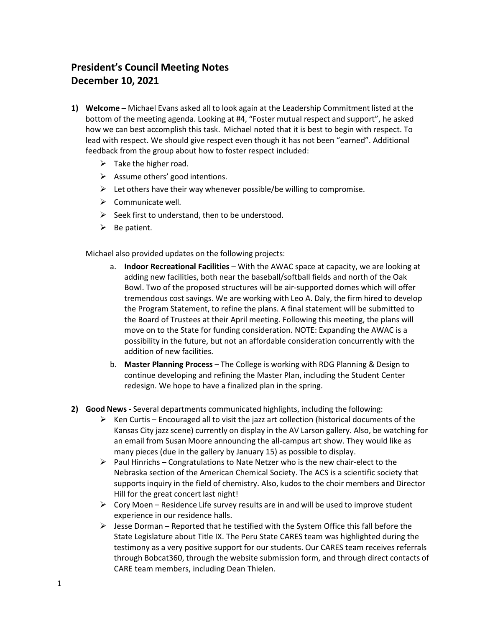## **President's Council Meeting Notes December 10, 2021**

- **1) Welcome –** Michael Evans asked all to look again at the Leadership Commitment listed at the bottom of the meeting agenda. Looking at #4, "Foster mutual respect and support", he asked how we can best accomplish this task. Michael noted that it is best to begin with respect. To lead with respect. We should give respect even though it has not been "earned". Additional feedback from the group about how to foster respect included:
	- $\triangleright$  Take the higher road.
	- $\triangleright$  Assume others' good intentions.
	- $\triangleright$  Let others have their way whenever possible/be willing to compromise.
	- $\triangleright$  Communicate well.
	- $\triangleright$  Seek first to understand, then to be understood.
	- $\triangleright$  Be patient.

Michael also provided updates on the following projects:

- a. **Indoor Recreational Facilities**  With the AWAC space at capacity, we are looking at adding new facilities, both near the baseball/softball fields and north of the Oak Bowl. Two of the proposed structures will be air-supported domes which will offer tremendous cost savings. We are working with Leo A. Daly, the firm hired to develop the Program Statement, to refine the plans. A final statement will be submitted to the Board of Trustees at their April meeting. Following this meeting, the plans will move on to the State for funding consideration. NOTE: Expanding the AWAC is a possibility in the future, but not an affordable consideration concurrently with the addition of new facilities.
- b. **Master Planning Process** The College is working with RDG Planning & Design to continue developing and refining the Master Plan, including the Student Center redesign. We hope to have a finalized plan in the spring.
- **2) Good News -** Several departments communicated highlights, including the following:
	- $\triangleright$  Ken Curtis Encouraged all to visit the jazz art collection (historical documents of the Kansas City jazz scene) currently on display in the AV Larson gallery. Also, be watching for an email from Susan Moore announcing the all-campus art show. They would like as many pieces (due in the gallery by January 15) as possible to display.
	- $\triangleright$  Paul Hinrichs Congratulations to Nate Netzer who is the new chair-elect to the Nebraska section of the American Chemical Society. The ACS is a scientific society that supports inquiry in the field of chemistry. Also, kudos to the choir members and Director Hill for the great concert last night!
	- $\triangleright$  Cory Moen Residence Life survey results are in and will be used to improve student experience in our residence halls.
	- $\triangleright$  Jesse Dorman Reported that he testified with the System Office this fall before the State Legislature about Title IX. The Peru State CARES team was highlighted during the testimony as a very positive support for our students. Our CARES team receives referrals through Bobcat360, through the website submission form, and through direct contacts of CARE team members, including Dean Thielen.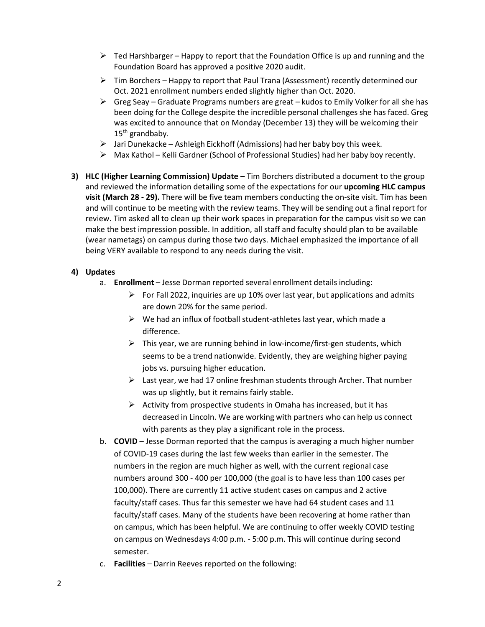- $\triangleright$  Ted Harshbarger Happy to report that the Foundation Office is up and running and the Foundation Board has approved a positive 2020 audit.
- $\triangleright$  Tim Borchers Happy to report that Paul Trana (Assessment) recently determined our Oct. 2021 enrollment numbers ended slightly higher than Oct. 2020.
- $\triangleright$  Greg Seay Graduate Programs numbers are great kudos to Emily Volker for all she has been doing for the College despite the incredible personal challenges she has faced. Greg was excited to announce that on Monday (December 13) they will be welcoming their  $15<sup>th</sup>$  grandbaby.
- $\triangleright$  Jari Dunekacke Ashleigh Eickhoff (Admissions) had her baby boy this week.
- $\triangleright$  Max Kathol Kelli Gardner (School of Professional Studies) had her baby boy recently.
- **3) HLC (Higher Learning Commission) Update –** Tim Borchers distributed a document to the group and reviewed the information detailing some of the expectations for our **upcoming HLC campus visit (March 28 - 29).** There will be five team members conducting the on-site visit. Tim has been and will continue to be meeting with the review teams. They will be sending out a final report for review. Tim asked all to clean up their work spaces in preparation for the campus visit so we can make the best impression possible. In addition, all staff and faculty should plan to be available (wear nametags) on campus during those two days. Michael emphasized the importance of all being VERY available to respond to any needs during the visit.

## **4) Updates**

- a. **Enrollment** Jesse Dorman reported several enrollment details including:
	- $\triangleright$  For Fall 2022, inquiries are up 10% over last year, but applications and admits are down 20% for the same period.
	- $\triangleright$  We had an influx of football student-athletes last year, which made a difference.
	- $\triangleright$  This year, we are running behind in low-income/first-gen students, which seems to be a trend nationwide. Evidently, they are weighing higher paying jobs vs. pursuing higher education.
	- $\triangleright$  Last year, we had 17 online freshman students through Archer. That number was up slightly, but it remains fairly stable.
	- $\triangleright$  Activity from prospective students in Omaha has increased, but it has decreased in Lincoln. We are working with partners who can help us connect with parents as they play a significant role in the process.
- b. **COVID**  Jesse Dorman reported that the campus is averaging a much higher number of COVID-19 cases during the last few weeks than earlier in the semester. The numbers in the region are much higher as well, with the current regional case numbers around 300 - 400 per 100,000 (the goal is to have less than 100 cases per 100,000). There are currently 11 active student cases on campus and 2 active faculty/staff cases. Thus far this semester we have had 64 student cases and 11 faculty/staff cases. Many of the students have been recovering at home rather than on campus, which has been helpful. We are continuing to offer weekly COVID testing on campus on Wednesdays 4:00 p.m. - 5:00 p.m. This will continue during second semester.
- c. **Facilities** Darrin Reeves reported on the following: